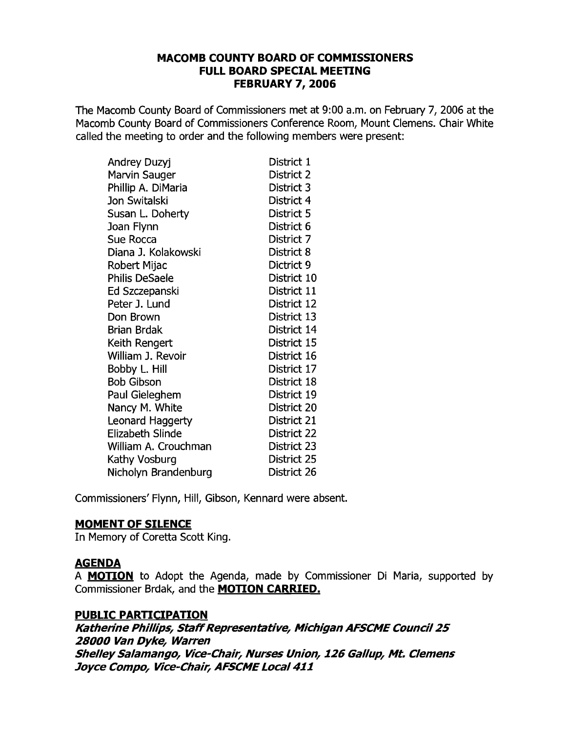## **MACOMB COUNTY BOARD OF COMMISSIONERS FULL BOARD SPECIAL MEETING FEBRUARY 7,2006**

The Macomb County Board of Commissioners met at 9:00 a.m. on February 7, 2006 at the Macomb County Board of Commissioners Conference Room, Mount Clemens. Chair White called the meeting to order and the following members were present:

| Andrey Duzyj            | District 1  |
|-------------------------|-------------|
| Marvin Sauger           | District 2  |
| Phillip A. DiMaria      | District 3  |
| Jon Switalski           | District 4  |
| Susan L. Doherty        | District 5  |
| Joan Flynn              | District 6  |
| Sue Rocca               | District 7  |
| Diana J. Kolakowski     | District 8  |
| Robert Mijac            | Dictrict 9  |
| <b>Philis DeSaele</b>   | District 10 |
| Ed Szczepanski          | District 11 |
| Peter J. Lund           | District 12 |
| Don Brown               | District 13 |
| Brian Brdak             | District 14 |
| Keith Rengert           | District 15 |
| William J. Revoir       | District 16 |
| Bobby L. Hill           | District 17 |
| <b>Bob Gibson</b>       | District 18 |
| Paul Gieleghem          | District 19 |
| Nancy M. White          | District 20 |
| Leonard Haggerty        | District 21 |
| <b>Elizabeth Slinde</b> | District 22 |
| William A. Crouchman    | District 23 |
| Kathy Vosburg           | District 25 |
| Nicholyn Brandenburg    | District 26 |

Commissioners' Flynn, Hill, Gibson, Kennard were absent.

# **MOMENT OF SILENCE**

In Memory of Coretta Scott King.

# **AGENDA**

A **MOTION** to Adopt the Agenda, made by Commissioner Di Maria, supported by Commissioner Brdak, and the **MOTION CARRIED.** 

# **PUBLIC PARTICIPATION**

**Katherine Phillips, Staff Representative, Michigan AFSCME Council 25 28000 Van Dyke, Warren ShelleySalamango, Vice-Chair, Nurses Union, 126 Gallup, Mt. Clemens Joyce Compo, Vice-Chair, AFSCME** Local 411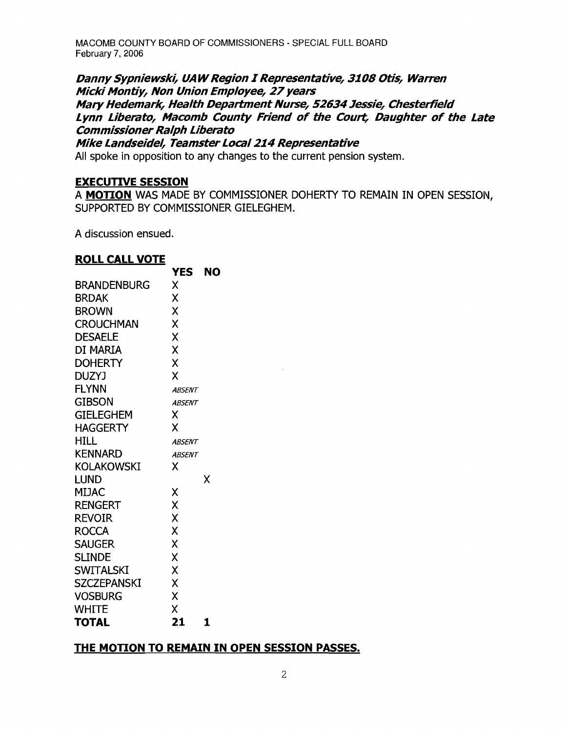MACOMB COUNTY BOARD OF COMMISSIONERS - SPECIAL FULL BOARD February 7. 2006

**DannySypniewski, UAWRegion r Representative, 3108 Otis, Warren Micki Montiy, Non Union Employee, 27years Mary Hedemark, Health Department Nurse, 52634Jessie, Chesterfield Lynn Liberato, Macomb County Friend of the Court, Daughter of the Late Commissioner Ralph Liberato** 

**Mike Landseidel, Teamster Local 214 Representative** 

All spoke in opposition to any changes to the current pension system.

#### **EXECUTIVE SESSION**

A **<u>MOTION</u>** WAS MADE BY COMMISSIONER DOHERTY TO REMAIN IN OPEN SESSION, SUPPORTED BY COMMISSIONER GIELEGHEM.

A discussion ensued.

### **ROLL CALL VOTE**

|                    | YES           | NO |
|--------------------|---------------|----|
| <b>BRANDENBURG</b> | X             |    |
| <b>BRDAK</b>       | X             |    |
| <b>BROWN</b>       | X             |    |
| <b>CROUCHMAN</b>   | X             |    |
| <b>DESAELE</b>     | X             |    |
| DI MARIA           | X             |    |
| <b>DOHERTY</b>     | X             |    |
| DUZYJ              | χ             |    |
| <b>FLYNN</b>       | <b>ABSENT</b> |    |
| <b>GIBSON</b>      | <b>ABSENT</b> |    |
| <b>GIELEGHEM</b>   | X             |    |
| HAGGERTY           | X             |    |
| HILL               | <b>ABSENT</b> |    |
| <b>KENNARD</b>     | <b>ABSENT</b> |    |
| <b>KOLAKOWSKI</b>  | x             |    |
| LUND               |               | x  |
| MIJAC              | χ             |    |
| <b>RENGERT</b>     | X             |    |
| REVOIR             | X             |    |
| <b>ROCCA</b>       | X             |    |
| <b>SAUGER</b>      | X             |    |
| <b>SLINDE</b>      | X             |    |
| <b>SWITALSKI</b>   | X             |    |
| <b>SZCZEPANSKI</b> | X             |    |
| <b>VOSBURG</b>     | X             |    |
| <b>WHITE</b>       | X             |    |
| <b>TOTAL</b>       | 21            | 1  |

### **THE MOTION TO REMAIN IN OPEN SESSION PASSES.**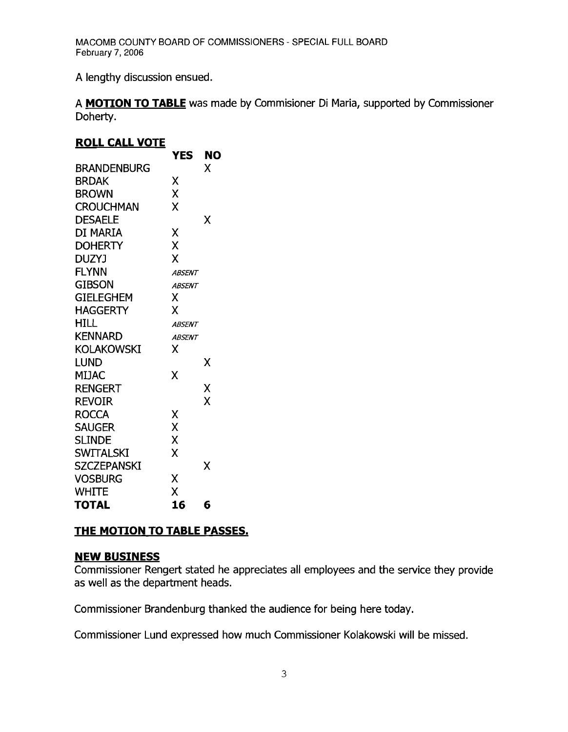A lengthy discussion ensued.

A **MOTION TO TABLE** was made by Commisioner Di Maria, supported by Commissioner Doherty.

### **ROLL CALL VOTE**

|                    | YES           | NO |
|--------------------|---------------|----|
| <b>BRANDENBURG</b> |               | Χ  |
| BRDAK              | Χ             |    |
| <b>BROWN</b>       | Χ             |    |
| <b>CROUCHMAN</b>   | X             |    |
| <b>DESAELE</b>     |               | X  |
| DI MARIA           | Χ             |    |
| <b>DOHERTY</b>     | X             |    |
| <b>DUZYJ</b>       | X             |    |
| <b>FLYNN</b>       | <b>ABSENT</b> |    |
| <b>GIBSON</b>      | <b>ABSENT</b> |    |
| <b>GIELEGHEM</b>   | χ             |    |
| <b>HAGGERTY</b>    | χ             |    |
| HILL               | <b>ABSENT</b> |    |
| <b>KENNARD</b>     | <b>ABSENT</b> |    |
| <b>KOLAKOWSKI</b>  | x             |    |
| Lund               |               | χ  |
| <b>MIJAC</b>       | Χ             |    |
| <b>RENGERT</b>     |               | Χ  |
| <b>REVOIR</b>      |               | X  |
| <b>ROCCA</b>       | Χ             |    |
| <b>SAUGER</b>      | X             |    |
| <b>SLINDE</b>      | X             |    |
| <b>SWITALSKI</b>   | X             |    |
| <b>SZCZEPANSKI</b> |               | x  |
| <b>VOSBURG</b>     | X             |    |
| WHITE              | X             |    |
| <b>TOTAL</b>       | 16            | 6  |

# **THE MOTION TO TABLE PASSES.**

# **NEW BUSINESS**

Commissioner Rengert stated he appreciates all employees and the service they provide as well as the department heads.

Commissioner Brandenburg thanked the audience for being here today.

Commissioner Lund expressed how much Commissioner Kolakowski will be missed.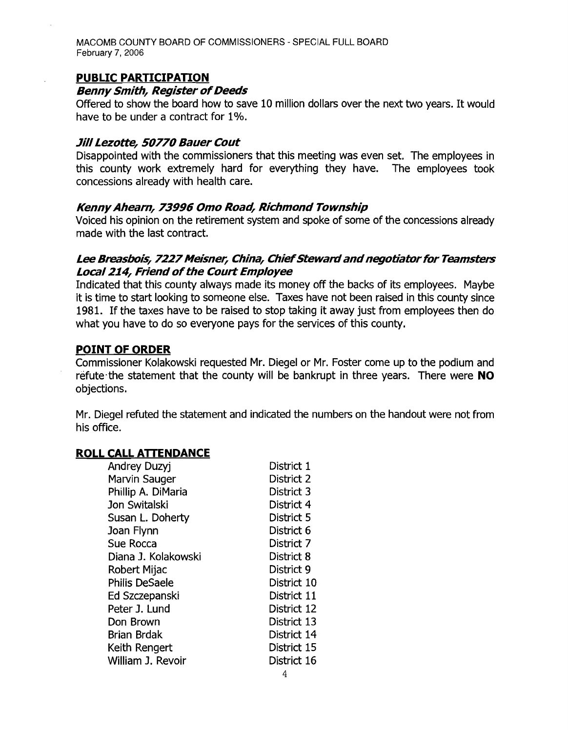MACOMB COUNTY BOARD OF COMMISSIONERS - SPECIAL FULL BOARD February 7, 2006

#### **PUBLIC PARTICIPATION**

#### **Benny Smith, Register of Deeds**

Offered to show the board how to save 10 million dollars over the next two years. It would have to be under a contract for 1%.

#### **Jill Lezotte, 50770 Bauer Cout**

Disappointed with the commissioners that this meeting was even set. The employees in this county work extremely hard for everything they have. The employees took concessions already with health care.

### **Kenny Ahearn, 73996 Omo Road, Richmond Township**

Voiced his opinion on the retirement system and spoke of some of the concessions already made with the last contract.

### Lee Breasbois, 7227 Meisner, China, Chief Steward and negotiator for Teamsters **Local 214, Friend of the Court Employee**

Indicated that this county always made its money off the backs of its employees. Maybe it is time to start looking to someone else. Taxes have not been raised in this county since 1981. If the taxes have to be raised to stop taking it away just from employees then do what you have to do so everyone pays for the services of this county.

#### **POINT OF ORDER**

Commissioner Kolakowski requested Mr. Diegel or Mr. Foster come up to the podium and refute-the statement that the county will be bankrupt in three years. There were **NO**  objections.

Mr. Diegel refuted the statement and indicated the numbers on the handout were not from his office.

### **ROLL CALL ATTENDANCE**

| <b>Andrey Duzyj</b>  | District 1  |
|----------------------|-------------|
| <b>Marvin Sauger</b> | District 2  |
| Phillip A. DiMaria   | District 3  |
| Jon Switalski        | District 4  |
| Susan L. Doherty     | District 5  |
| Joan Flynn           | District 6  |
| Sue Rocca            | District 7  |
| Diana J. Kolakowski  | District 8  |
| Robert Mijac         | District 9  |
| Philis DeSaele       | District 10 |
| Ed Szczepanski       | District 11 |
| Peter J. Lund        | District 12 |
| Don Brown            | District 13 |
| Brian Brdak          | District 14 |
| Keith Rengert        | District 15 |
| William J. Revoir    | District 16 |